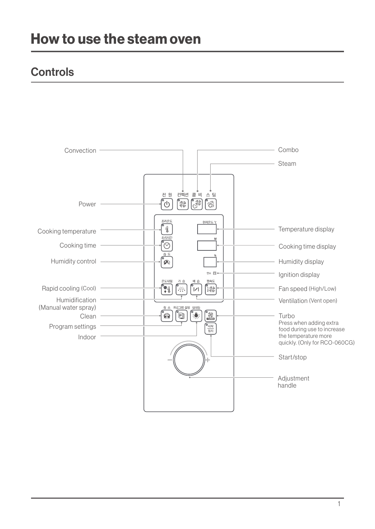## **Controls**

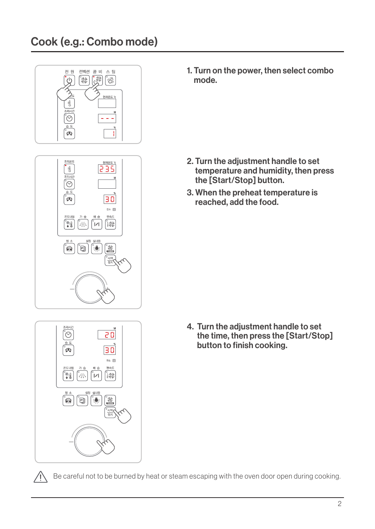

1. Turn on the power, then select combo mode.

- 2. Turn the adjustment handle to set temperature and humidity, then press the [Start/Stop] button.
- 3. When the preheat temperature is reached, add the food.

- 20 30 े<br>⊈े  $24$  M .<br>Sula 매소드  $\frac{1}{2}$ ัััััืั Ă.  $\mathcal{L}$ Ò  $\frac{1}{2}$  $\frac{1}{2}$ **REA**
- 4. Turn the adjustment handle to set the time, then press the [Start/Stop] button to finish cooking.



Be careful not to be burned by heat or steam escaping with the oven door open during cooking.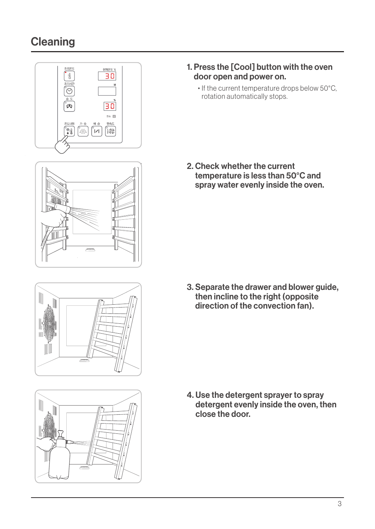# **Cleaning**









- 1. Press the [Cool] button with the oven door open and power on.
	- If the current temperature drops below 50°C, rotation automatically stops.

2. Check whether the current temperature is less than  $50^{\circ}$ C and spray water evenly inside the oven.

3. Separate the drawer and blower guide, then incline to the right (opposite direction of the convection fan).

4. Use the detergent sprayer to spray detergent evenly inside the oven, then close the door.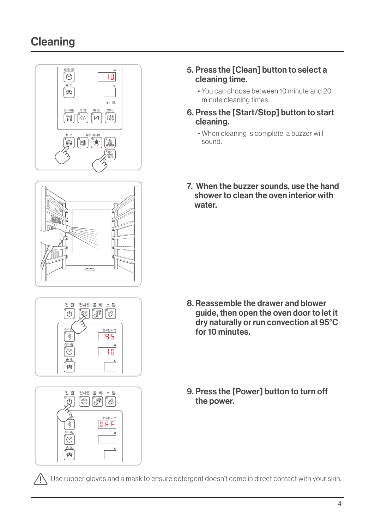## **Cleaning**







| 'n      | 전 원 컨벡션 콤 비 스 팀<br><b>CREE</b><br>es<br>VD<br>ශ |
|---------|-------------------------------------------------|
| 4⊊<br>타 | 현재온도 ℃<br>OFF                                   |
| 조리시간    | M                                               |
| 습도      | %                                               |

#### 5. Press the [Clean] button to select a cleaning time.

- You can choose between 10 minute and 20 minute cleaning times.
- 6. Press the [Start/Stop] button to start .cleaning
	- When cleaning is complete, a buzzer will .sound
- 7. When the buzzer sounds, use the hand shower to clean the oven interior with .water

- 8. Reassemble the drawer and blower guide, then open the oven door to let it dry naturally or run convection at 95°C  $for 10 minutes$
- 9. Press the [Power] button to turn off the power.

. Use rubber gloves and a mask to ensure detergent doesn't come in direct contact with your skin.